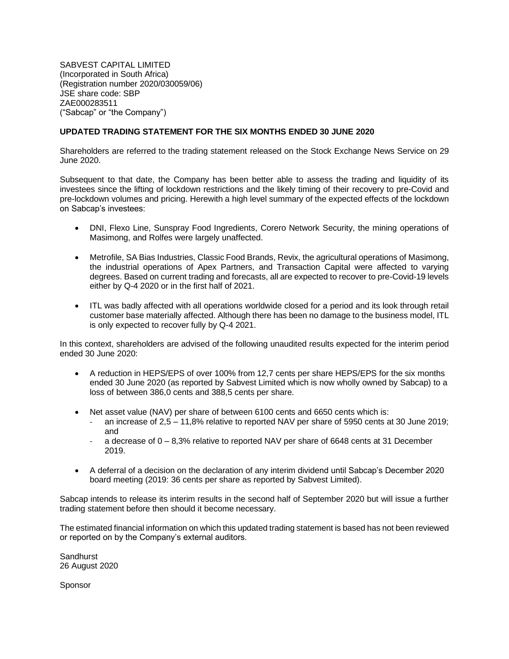SABVEST CAPITAL LIMITED (Incorporated in South Africa) (Registration number 2020/030059/06) JSE share code: SBP ZAE000283511 ("Sabcap" or "the Company")

## **UPDATED TRADING STATEMENT FOR THE SIX MONTHS ENDED 30 JUNE 2020**

Shareholders are referred to the trading statement released on the Stock Exchange News Service on 29 June 2020.

Subsequent to that date, the Company has been better able to assess the trading and liquidity of its investees since the lifting of lockdown restrictions and the likely timing of their recovery to pre-Covid and pre-lockdown volumes and pricing. Herewith a high level summary of the expected effects of the lockdown on Sabcap's investees:

- DNI, Flexo Line, Sunspray Food Ingredients, Corero Network Security, the mining operations of Masimong, and Rolfes were largely unaffected.
- Metrofile, SA Bias Industries, Classic Food Brands, Revix, the agricultural operations of Masimong, the industrial operations of Apex Partners, and Transaction Capital were affected to varying degrees. Based on current trading and forecasts, all are expected to recover to pre-Covid-19 levels either by Q-4 2020 or in the first half of 2021.
- ITL was badly affected with all operations worldwide closed for a period and its look through retail customer base materially affected. Although there has been no damage to the business model, ITL is only expected to recover fully by Q-4 2021.

In this context, shareholders are advised of the following unaudited results expected for the interim period ended 30 June 2020:

- A reduction in HEPS/EPS of over 100% from 12,7 cents per share HEPS/EPS for the six months ended 30 June 2020 (as reported by Sabvest Limited which is now wholly owned by Sabcap) to a loss of between 386,0 cents and 388,5 cents per share.
- Net asset value (NAV) per share of between 6100 cents and 6650 cents which is:
	- an increase of 2,5 11,8% relative to reported NAV per share of 5950 cents at 30 June 2019; and
	- a decrease of  $0 8,3%$  relative to reported NAV per share of 6648 cents at 31 December 2019.
- A deferral of a decision on the declaration of any interim dividend until Sabcap's December 2020 board meeting (2019: 36 cents per share as reported by Sabvest Limited).

Sabcap intends to release its interim results in the second half of September 2020 but will issue a further trading statement before then should it become necessary.

The estimated financial information on which this updated trading statement is based has not been reviewed or reported on by the Company's external auditors.

**Sandhurst** 26 August 2020

Sponsor